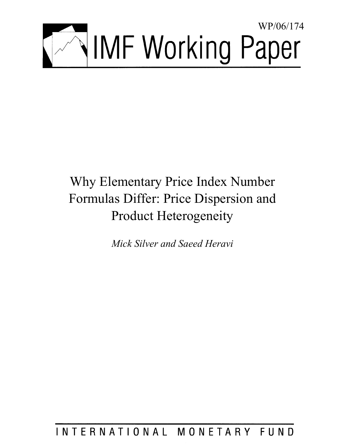

# Why Elementary Price Index Number Formulas Differ: Price Dispersion and Product Heterogeneity

*Mick Silver and Saeed Heravi* 

# INTERNATIONAL MONETARY FUND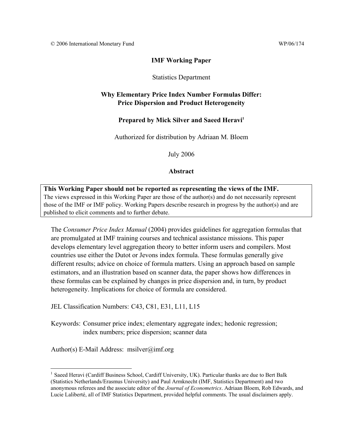# **IMF Working Paper**

# Statistics Department

# **Why Elementary Price Index Number Formulas Differ: Price Dispersion and Product Heterogeneity**

# Prepared by Mick Silver and Saeed Heravi<sup>1</sup>

Authorized for distribution by Adriaan M. Bloem

July 2006

# **Abstract**

**This Working Paper should not be reported as representing the views of the IMF.** The views expressed in this Working Paper are those of the author(s) and do not necessarily represent those of the IMF or IMF policy. Working Papers describe research in progress by the author(s) and are published to elicit comments and to further debate.

The *Consumer Price Index Manual* (2004) provides guidelines for aggregation formulas that are promulgated at IMF training courses and technical assistance missions. This paper develops elementary level aggregation theory to better inform users and compilers. Most countries use either the Dutot or Jevons index formula. These formulas generally give different results; advice on choice of formula matters. Using an approach based on sample estimators, and an illustration based on scanner data, the paper shows how differences in these formulas can be explained by changes in price dispersion and, in turn, by product heterogeneity. Implications for choice of formula are considered.

JEL Classification Numbers: C43, C81, E31, L11, L15

Keywords: Consumer price index; elementary aggregate index; hedonic regression; index numbers; price dispersion; scanner data

Author(s) E-Mail Address: msilver@imf.org

 $\overline{a}$ <sup>1</sup> Saeed Heravi (Cardiff Business School, Cardiff University, UK). Particular thanks are due to Bert Balk (Statistics Netherlands/Erasmus University) and Paul Armknecht (IMF, Statistics Department) and two anonymous referees and the associate editor of the *Journal of Econometrics*. Adriaan Bloem, Rob Edwards, and Lucie Laliberté, all of IMF Statistics Department, provided helpful comments. The usual disclaimers apply.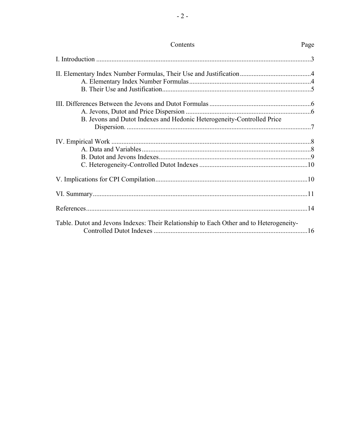| Contents                                                                                | Page |
|-----------------------------------------------------------------------------------------|------|
|                                                                                         |      |
|                                                                                         |      |
|                                                                                         |      |
|                                                                                         |      |
|                                                                                         |      |
| B. Jevons and Dutot Indexes and Hedonic Heterogeneity-Controlled Price                  |      |
|                                                                                         |      |
|                                                                                         |      |
|                                                                                         |      |
|                                                                                         |      |
|                                                                                         |      |
|                                                                                         |      |
|                                                                                         |      |
| Table. Dutot and Jevons Indexes: Their Relationship to Each Other and to Heterogeneity- |      |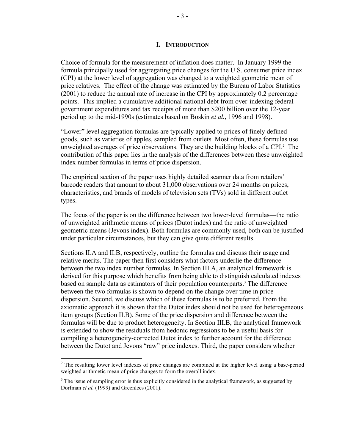#### **I. INTRODUCTION**

Choice of formula for the measurement of inflation does matter. In January 1999 the formula principally used for aggregating price changes for the U.S. consumer price index (CPI) at the lower level of aggregation was changed to a weighted geometric mean of price relatives. The effect of the change was estimated by the Bureau of Labor Statistics (2001) to reduce the annual rate of increase in the CPI by approximately 0.2 percentage points. This implied a cumulative additional national debt from over-indexing federal government expenditures and tax receipts of more than \$200 billion over the 12-year period up to the mid-1990s (estimates based on Boskin *et al.*, 1996 and 1998).

"Lower" level aggregation formulas are typically applied to prices of finely defined goods, such as varieties of apples, sampled from outlets. Most often, these formulas use unweighted averages of price observations. They are the building blocks of a CPI. $2$  The contribution of this paper lies in the analysis of the differences between these unweighted index number formulas in terms of price dispersion.

The empirical section of the paper uses highly detailed scanner data from retailers' barcode readers that amount to about 31,000 observations over 24 months on prices, characteristics, and brands of models of television sets (TVs) sold in different outlet types.

The focus of the paper is on the difference between two lower-level formulas—the ratio of unweighted arithmetic means of prices (Dutot index) and the ratio of unweighted geometric means (Jevons index). Both formulas are commonly used, both can be justified under particular circumstances, but they can give quite different results.

Sections II.A and II.B, respectively, outline the formulas and discuss their usage and relative merits. The paper then first considers what factors underlie the difference between the two index number formulas. In Section III.A, an analytical framework is derived for this purpose which benefits from being able to distinguish calculated indexes based on sample data as estimators of their population counterparts.<sup>3</sup> The difference between the two formulas is shown to depend on the change over time in price dispersion. Second, we discuss which of these formulas is to be preferred. From the axiomatic approach it is shown that the Dutot index should not be used for heterogeneous item groups (Section II.B). Some of the price dispersion and difference between the formulas will be due to product heterogeneity. In Section III.B, the analytical framework is extended to show the residuals from hedonic regressions to be a useful basis for compiling a heterogeneity-corrected Dutot index to further account for the difference between the Dutot and Jevons "raw" price indexes. Third, the paper considers whether

<sup>&</sup>lt;sup>2</sup> The resulting lower level indexes of price changes are combined at the higher level using a base-period weighted arithmetic mean of price changes to form the overall index.

 $3$  The issue of sampling error is thus explicitly considered in the analytical framework, as suggested by Dorfman *et al.* (1999) and Greenlees (2001).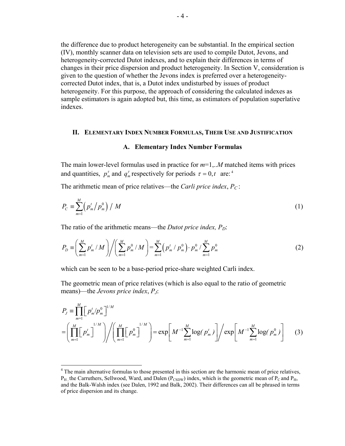the difference due to product heterogeneity can be substantial. In the empirical section (IV), monthly scanner data on television sets are used to compile Dutot, Jevons, and heterogeneity-corrected Dutot indexes, and to explain their differences in terms of changes in their price dispersion and product heterogeneity. In Section V, consideration is given to the question of whether the Jevons index is preferred over a heterogeneitycorrected Dutot index, that is, a Dutot index undisturbed by issues of product heterogeneity. For this purpose, the approach of considering the calculated indexes as sample estimators is again adopted but, this time, as estimators of population superlative indexes.

#### **II. ELEMENTARY INDEX NUMBER FORMULAS, THEIR USE AND JUSTIFICATION**

#### **A. Elementary Index Number Formulas**

The main lower-level formulas used in practice for *m*=1,..*M* matched items with prices and quantities,  $p_m^{\tau}$  and  $q_m^{\tau}$  respectively for periods  $\tau = 0, t$  are:<sup>4</sup>

The arithmetic mean of price relatives—the *Carli price index*,  $P_C$ :

$$
P_C = \sum_{m=1}^{M} \left( p_m^t / p_m^0 \right) / M \tag{1}
$$

The ratio of the arithmetic means—the *Dutot price index, P<sub>D</sub>*:

$$
P_D \equiv \left(\sum_{m=1}^M p_m^t / M\right) / \left(\sum_{m=1}^M p_m^0 / M\right) = \sum_{m=1}^M \left(p_m^t / p_m^0\right) \cdot p_m^0 / \sum_{m=1}^M p_m^0 \tag{2}
$$

which can be seen to be a base-period price-share weighted Carli index.

The geometric mean of price relatives (which is also equal to the ratio of geometric means)—the *Jevons price index*, *PJ*:

$$
P_{J} = \prod_{m=1}^{M} \left[ p_{m}^{i} / p_{m}^{0} \right]^{1/M}
$$
  
=  $\left( \prod_{m=1}^{M} \left[ p_{m}^{i} \right]^{1/M} \right) / \left( \prod_{m=1}^{M} \left[ p_{m}^{0} \right]^{1/M} \right) = \exp \left[ M^{-1} \sum_{m=1}^{M} \log (p_{m}^{i}) \right] / \exp \left[ M^{-1} \sum_{m=1}^{M} \log (p_{m}^{0}) \right]$  (3)

<sup>&</sup>lt;sup>4</sup> The main alternative formulas to those presented in this section are the harmonic mean of price relatives,  $P_H$  the Carruthers, Sellwood, Ward, and Dalen ( $P_{\text{CSDW}}$ ) index, which is the geometric mean of  $P_C$  and  $P_H$ , and the Balk-Walsh index (see Dalen, 1992 and Balk, 2002). Their differences can all be phrased in terms of price dispersion and its change.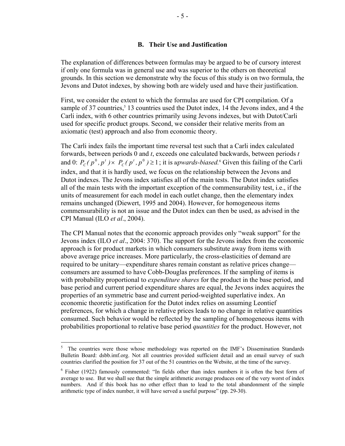# **B. Their Use and Justification**

The explanation of differences between formulas may be argued to be of cursory interest if only one formula was in general use and was superior to the others on theoretical grounds. In this section we demonstrate why the focus of this study is on two formula, the Jevons and Dutot indexes, by showing both are widely used and have their justification.

First, we consider the extent to which the formulas are used for CPI compilation. Of a sample of 37 countries,<sup>5</sup> 13 countries used the Dutot index, 14 the Jevons index, and 4 the Carli index, with 6 other countries primarily using Jevons indexes, but with Dutot/Carli used for specific product groups. Second, we consider their relative merits from an axiomatic (test) approach and also from economic theory.

The Carli index fails the important time reversal test such that a Carli index calculated forwards, between periods 0 and *t*, exceeds one calculated backwards, between periods *t* and 0:  $P_c(p^0, p^t) \times P_c(p^t, p^0) \ge 1$  $P_c(P^0, p^t) \times P_c(P^t, p^0) \ge 1$ ; it is *upwards-biased*.<sup>6</sup> Given this failing of the Carli index, and that it is hardly used, we focus on the relationship between the Jevons and Dutot indexes. The Jevons index satisfies all of the main tests. The Dutot index satisfies all of the main tests with the important exception of the commensurability test, i.e., if the units of measurement for each model in each outlet change, then the elementary index remains unchanged (Diewert, 1995 and 2004). However, for homogeneous items commensurability is not an issue and the Dutot index can then be used, as advised in the CPI Manual (ILO *et al*., 2004).

The CPI Manual notes that the economic approach provides only "weak support" for the Jevons index (ILO *et al*., 2004: 370). The support for the Jevons index from the economic approach is for product markets in which consumers substitute away from items with above average price increases. More particularly, the cross-elasticities of demand are required to be unitary—expenditure shares remain constant as relative prices change consumers are assumed to have Cobb-Douglas preferences. If the sampling of items is with probability proportional to *expenditure shares* for the product in the base period, and base period and current period expenditure shares are equal, the Jevons index acquires the properties of an symmetric base and current period-weighted superlative index. An economic theoretic justification for the Dutot index relies on assuming Leontief preferences, for which a change in relative prices leads to no change in relative quantities consumed. Such behavior would be reflected by the sampling of homogeneous items with probabilities proportional to relative base period *quantities* for the product. However, not

 5 The countries were those whose methodology was reported on the IMF's Dissemination Standards Bulletin Board: dsbb.imf.org. Not all countries provided sufficient detail and an email survey of such countries clarified the position for 37 out of the 51 countries on the Website, at the time of the survey.

<sup>&</sup>lt;sup>6</sup> Fisher (1922) famously commented: "In fields other than index numbers it is often the best form of average to use. But we shall see that the simple arithmetic average produces one of the very worst of index numbers. And if this book has no other effect than to lead to the total abandonment of the simple arithmetic type of index number, it will have served a useful purpose" (pp. 29-30).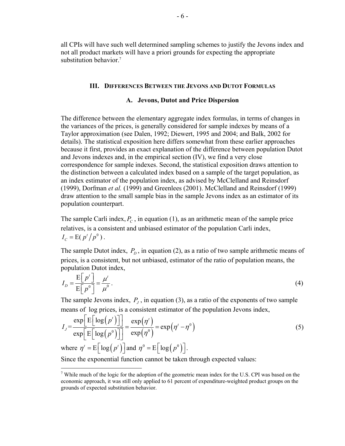all CPIs will have such well determined sampling schemes to justify the Jevons index and not all product markets will have a priori grounds for expecting the appropriate substitution behavior.<sup>7</sup>

#### **III. DIFFERENCES BETWEEN THE JEVONS AND DUTOT FORMULAS**

#### **A. Jevons, Dutot and Price Dispersion**

The difference between the elementary aggregate index formulas, in terms of changes in the variances of the prices, is generally considered for sample indexes by means of a Taylor approximation (see Dalen, 1992; Diewert, 1995 and 2004; and Balk, 2002 for details). The statistical exposition here differs somewhat from these earlier approaches because it first, provides an exact explanation of the difference between population Dutot and Jevons indexes and, in the empirical section (IV), we find a very close correspondence for sample indexes. Second, the statistical exposition draws attention to the distinction between a calculated index based on a sample of the target population, as an index estimator of the population index, as advised by McClelland and Reinsdorf (1999), Dorfman *et al.* (1999) and Greenlees (2001). McClelland and Reinsdorf (1999) draw attention to the small sample bias in the sample Jevons index as an estimator of its population counterpart.

The sample Carli index,  $P_c$ , in equation (1), as an arithmetic mean of the sample price relatives, is a consistent and unbiased estimator of the population Carli index,  $I_c = E(p^t / p^0)$ .

The sample Dutot index,  $P<sub>D</sub>$ , in equation (2), as a ratio of two sample arithmetic means of prices, is a consistent, but not unbiased, estimator of the ratio of population means, the population Dutot index,

$$
I_D = \frac{\mathrm{E} \left[ p^t \right]}{\mathrm{E} \left[ p^0 \right]} = \frac{\mu^t}{\mu^0} \,. \tag{4}
$$

The sample Jevons index,  $P<sub>I</sub>$ , in equation (3), as a ratio of the exponents of two sample means of log prices, is a consistent estimator of the population Jevons index,

$$
I_{J} = \frac{\exp\left[E\left[\log\left(p^{t}\right)\right]\right]}{\exp\left[E\left[\log\left(p^{0}\right)\right]\right]} = \frac{\exp\left(\eta^{t}\right)}{\exp\left(\eta^{0}\right)} = \exp\left(\eta^{t} - \eta^{0}\right)
$$
\nwhere  $\eta^{t} = E\left[\log\left(\eta^{t}\right)\right]$  and  $\eta^{0} = E\left[\log\left(\eta^{0}\right)\right]$ 

\n(5)

where  $\eta' = E \vert \log (p') \vert$  and  $\eta'' = E \vert \log (p'') \vert$ .

 $\overline{a}$ 

Since the exponential function cannot be taken through expected values:

<sup>&</sup>lt;sup>7</sup> While much of the logic for the adoption of the geometric mean index for the U.S. CPI was based on the economic approach, it was still only applied to 61 percent of expenditure-weighted product groups on the grounds of expected substitution behavior.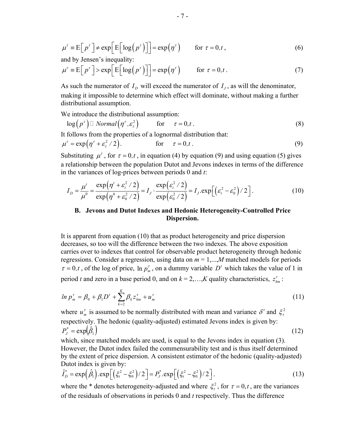$$
\mu^{\tau} = E\Big[ p^{\tau} \Big] \neq \exp\Big[ E\Big[ \log \Big( p^{\tau} \Big) \Big] \Big] = \exp \Big( \eta^{\tau} \Big) \quad \text{for } \tau = 0, t \,, \tag{6}
$$

and by Jensen's inequality:

$$
\mu^{\tau} = E[p^{\tau}] > \exp\left[E[\log(p^{\tau})]\right] = \exp(\eta^{\tau}) \quad \text{for } \tau = 0, t. \tag{7}
$$

As such the numerator of  $I<sub>p</sub>$  will exceed the numerator of  $I<sub>j</sub>$ , as will the denominator, making it impossible to determine which effect will dominate, without making a further distributional assumption.

We introduce the distributional assumption:

$$
\log(p^{\tau}) \Box \; Normal\big(\eta^{\tau}, \varepsilon_{\tau}^{2}\big) \qquad \text{for} \qquad \tau = 0, t \; . \tag{8}
$$

It follows from the properties of a lognormal distribution that:

$$
\mu^{\tau} = \exp(\eta^{\tau} + \varepsilon_{\tau}^2 / 2). \qquad \text{for} \quad \tau = 0, t. \tag{9}
$$

Substituting  $\mu^r$ , for  $\tau = 0, t$ , in equation (4) by equation (9) and using equation (5) gives a relationship between the population Dutot and Jevons indexes in terms of the difference in the variances of log-prices between periods 0 and *t*:

$$
I_D = \frac{\mu^t}{\mu^0} = \frac{\exp\left(\eta^t + \varepsilon_t^2/2\right)}{\exp\left(\eta^0 + \varepsilon_0^2/2\right)} = I_J \cdot \frac{\exp\left(\varepsilon_t^2/2\right)}{\exp\left(\varepsilon_0^2/2\right)} = I_J \cdot \exp\left[\left(\varepsilon_t^2 - \varepsilon_0^2\right)/2\right].
$$
 (10)

# **B. Jevons and Dutot Indexes and Hedonic Heterogeneity-Controlled Price Dispersion.**

It is apparent from equation (10) that as product heterogeneity and price dispersion decreases, so too will the difference between the two indexes. The above exposition carries over to indexes that control for observable product heterogeneity through hedonic regressions. Consider a regression, using data on *m* = 1,...,*M* matched models for periods  $\tau = 0, t$ , of the log of price,  $\ln p_m^{\tau}$ , on a dummy variable  $D^t$  which takes the value of 1 in period *t* and zero in a base period 0, and on  $k = 2,...,K$  quality characteristics,  $z_{km}^{\tau}$ :

$$
\ln p_m^{\tau} = \beta_0 + \beta_1 D^{\tau} + \sum_{k=2}^{K} \beta_k z_{km}^{\tau} + u_m^{\tau}
$$
 (11)

where  $u_m^r$  is assumed to be normally distributed with mean and variance  $\delta^r$  and  $\xi_r^2$ respectively. The hedonic (quality-adjusted) estimated Jevons index is given by:  $P_J^* = \exp(\hat{\beta}_1)$  (12)

which, since matched models are used, is equal to the Jevons index in equation (3). However, the Dutot index failed the commensurability test and is thus itself determined by the extent of price dispersion. A consistent estimator of the hedonic (quality-adjusted) Dutot index is given by:

$$
\hat{I}_D^* = \exp\left(\hat{\beta}_1\right). \exp\left[\left(\xi_t^2 - \xi_0^2\right)/2\right] = P_J^*.\exp\left[\left(\xi_t^2 - \xi_0^2\right)/2\right].\tag{13}
$$

where the \* denotes heterogeneity-adjusted and where  $\xi^2$ , for  $\tau = 0, t$ , are the variances of the residuals of observations in periods 0 and *t* respectively. Thus the difference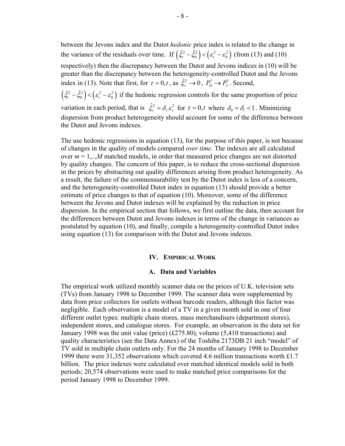between the Jevons index and the Dutot *hedonic* price index is related to the change in the variance of the residuals over time. If  $(\hat{\xi}_t^2 - \hat{\xi}_0^2) < (\varepsilon_t^2 - \varepsilon_0^2)$  (from (13) and (10) respectively) then the discrepancy between the Dutot and Jevons indices in (10) will be greater than the discrepancy between the heterogeneity-controlled Dutot and the Jevons index in (13). Note that first, for  $\tau = 0, t$ , as  $\hat{\xi}_t^2 \to 0$ ,  $P_D^* \to P_J^*$ . Second,  $(\hat{\xi}_t^2 - \hat{\xi}_0^2) < (\varepsilon_t^2 - \varepsilon_0^2)$  if the hedonic regression controls for the same proportion of price variation in each period, that is  $\hat{\xi}_r^2 = \delta_r \varepsilon_r^2$  for  $\tau = 0, t$  where  $\delta_0 = \delta_t < 1$ . Minimizing dispersion from product heterogeneity should account for some of the difference between the Dutot and Jevons indexes.

The use hedonic regressions in equation (13), for the purpose of this paper, is not because of changes in the quality of models compared *over time*. The indexes are all calculated over  $m = 1,...M$  matched models, in order that measured price changes are not distorted by quality changes. The concern of this paper, is to reduce the cross-sectional dispersion in the prices by abstracting out quality differences arising from product heterogeneity. As a result, the failure of the commensurability test by the Dutot index is less of a concern, and the heterogeneity-controlled Dutot index in equation (13) should provide a better estimate of price changes to that of equation (10). Moreover, some of the difference between the Jevons and Dutot indexes will be explained by the reduction in price dispersion. In the empirical section that follows, we first outline the data, then account for the differences between Dutot and Jevons indexes in terms of the change in variances as postulated by equation (10), and finally, compile a heterogeneity-controlled Dutot index using equation (13) for comparison with the Dutot and Jevons indexes.

#### **IV. EMPIRICAL WORK**

#### **A. Data and Variables**

The empirical work utilized monthly scanner data on the prices of U.K. television sets (TVs) from January 1998 to December 1999. The scanner data were supplemented by data from price collectors for outlets without barcode readers, although this factor was negligible. Each observation is a model of a TV in a given month sold in one of four different outlet types: multiple chain stores, mass merchandisers (department stores), independent stores, and catalogue stores. For example, an observation in the data set for January 1998 was the unit value (price) (£275.80), volume (5,410 transactions) and quality characteristics (see the Data Annex) of the Toshiba 2173DB 21 inch "model" of TV sold in multiple chain outlets only. For the 24 months of January 1998 to December 1999 there were 31,352 observations which covered 4.6 million transactions worth £1.7 billion. The price indexes were calculated over matched identical models sold in both periods; 20,574 observations were used to make matched price comparisons for the period January 1998 to December 1999.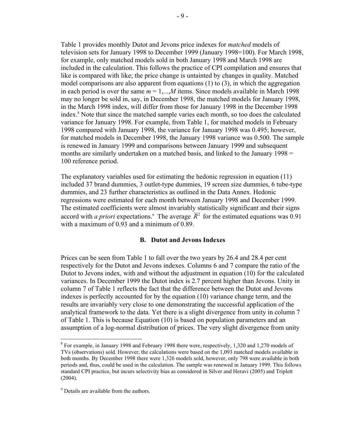Table 1 provides monthly Dutot and Jevons price indexes for *matched* models of television sets for January 1998 to December 1999 (January 1998=100). For March 1998, for example, only matched models sold in both January 1998 and March 1998 are included in the calculation. This follows the practice of CPI compilation and ensures that like is compared with like; the price change is untainted by changes in quality. Matched model comparisons are also apparent from equations (1) to (3), in which the aggregation in each period is over the same  $m = 1,...,M$  items. Since models available in March 1998 may no longer be sold in, say, in December 1998, the matched models for January 1998, in the March 1998 index, will differ from those for January 1998 in the December 1998 index.8 Note that since the matched sample varies each month, so too does the calculated variance for January 1998. For example, from Table 1, for matched models in February 1998 compared with January 1998, the variance for January 1998 was 0.495; however, for matched models in December 1998, the January 1998 variance was 0.500. The sample is renewed in January 1999 and comparisons between January 1999 and subsequent months are similarly undertaken on a matched basis, and linked to the January 1998 = 100 reference period.

The explanatory variables used for estimating the hedonic regression in equation (11) included 37 brand dummies, 3 outlet-type dummies, 19 screen size dummies, 6 tube-type dummies, and 23 further characteristics as outlined in the Data Annex. Hedonic regressions were estimated for each month between January 1998 and December 1999. The estimated coefficients were almost invariably statistically significant and their signs accord with *a priori* expectations.<sup>9</sup> The average  $\bar{R}^2$  for the estimated equations was 0.91 with a maximum of 0.93 and a minimum of 0.89.

# **B. Dutot and Jevons Indexes**

Prices can be seen from Table 1 to fall over the two years by 26.4 and 28.4 per cent respectively for the Dutot and Jevons indexes. Columns 6 and 7 compare the ratio of the Dutot to Jevons index, with and without the adjustment in equation (10) for the calculated variances. In December 1999 the Dutot index is 2.7 percent higher than Jevons. Unity in column 7 of Table 1 reflects the fact that the difference between the Dutot and Jevons indexes is perfectly accounted for by the equation (10) variance change term, and the results are invariably very close to one demonstrating the successful application of the analytical framework to the data. Yet there is a slight divergence from unity in column 7 of Table 1. This is because Equation (10) is based on population parameters and an assumption of a log-normal distribution of prices. The very slight divergence from unity

<sup>1</sup> <sup>8</sup> For example, in January 1998 and February 1998 there were, respectively, 1,320 and 1,270 models of TVs (observations) sold. However, the calculations were based on the 1,093 matched models available in both months. By December 1998 there were 1,326 models sold, however, only 798 were available in both periods and, thus, could be used in the calculation. The sample was renewed in January 1999. This follows standard CPI practice, but incurs selectivity bias as considered in Silver and Heravi (2005) and Triplett (2004).

<sup>&</sup>lt;sup>9</sup> Details are available from the authors.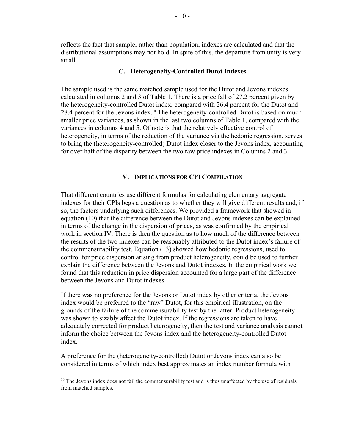reflects the fact that sample, rather than population, indexes are calculated and that the distributional assumptions may not hold. In spite of this, the departure from unity is very small.

### **C. Heterogeneity-Controlled Dutot Indexes**

The sample used is the same matched sample used for the Dutot and Jevons indexes calculated in columns 2 and 3 of Table 1. There is a price fall of 27.2 percent given by the heterogeneity-controlled Dutot index, compared with 26.4 percent for the Dutot and 28.4 percent for the Jevons index.<sup>10</sup> The heterogeneity-controlled Dutot is based on much smaller price variances, as shown in the last two columns of Table 1, compared with the variances in columns 4 and 5. Of note is that the relatively effective control of heterogeneity, in terms of the reduction of the variance via the hedonic regression, serves to bring the (heterogeneity-controlled) Dutot index closer to the Jevons index, accounting for over half of the disparity between the two raw price indexes in Columns 2 and 3.

# **V. IMPLICATIONS FOR CPI COMPILATION**

That different countries use different formulas for calculating elementary aggregate indexes for their CPIs begs a question as to whether they will give different results and, if so, the factors underlying such differences. We provided a framework that showed in equation (10) that the difference between the Dutot and Jevons indexes can be explained in terms of the change in the dispersion of prices, as was confirmed by the empirical work in section IV. There is then the question as to how much of the difference between the results of the two indexes can be reasonably attributed to the Dutot index's failure of the commensurability test. Equation (13) showed how hedonic regressions, used to control for price dispersion arising from product heterogeneity, could be used to further explain the difference between the Jevons and Dutot indexes. In the empirical work we found that this reduction in price dispersion accounted for a large part of the difference between the Jevons and Dutot indexes.

If there was no preference for the Jevons or Dutot index by other criteria, the Jevons index would be preferred to the "raw" Dutot, for this empirical illustration, on the grounds of the failure of the commensurability test by the latter. Product heterogeneity was shown to sizably affect the Dutot index. If the regressions are taken to have adequately corrected for product heterogeneity, then the test and variance analysis cannot inform the choice between the Jevons index and the heterogeneity-controlled Dutot index.

A preference for the (heterogeneity-controlled) Dutot or Jevons index can also be considered in terms of which index best approximates an index number formula with

1

 $10$  The Jevons index does not fail the commensurability test and is thus unaffected by the use of residuals from matched samples.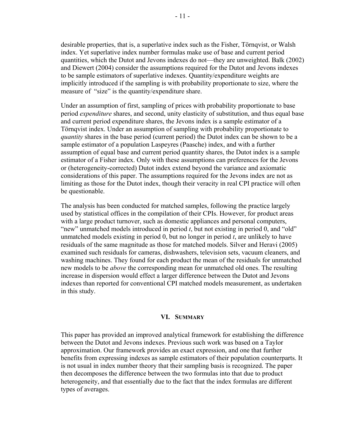desirable properties, that is, a superlative index such as the Fisher, Törnqvist, or Walsh index. Yet superlative index number formulas make use of base and current period quantities, which the Dutot and Jevons indexes do not—they are unweighted. Balk (2002) and Diewert (2004) consider the assumptions required for the Dutot and Jevons indexes to be sample estimators of superlative indexes. Quantity/expenditure weights are implicitly introduced if the sampling is with probability proportionate to size, where the measure of "size" is the quantity/expenditure share.

Under an assumption of first, sampling of prices with probability proportionate to base period *expenditure* shares, and second, unity elasticity of substitution, and thus equal base and current period expenditure shares, the Jevons index is a sample estimator of a Törnqvist index. Under an assumption of sampling with probability proportionate to *quantity* shares in the base period (current period) the Dutot index can be shown to be a sample estimator of a population Laspeyres (Paasche) index, and with a further assumption of equal base and current period quantity shares, the Dutot index is a sample estimator of a Fisher index. Only with these assumptions can preferences for the Jevons or (heterogeneity-corrected) Dutot index extend beyond the variance and axiomatic considerations of this paper. The assumptions required for the Jevons index are not as limiting as those for the Dutot index, though their veracity in real CPI practice will often be questionable.

The analysis has been conducted for matched samples, following the practice largely used by statistical offices in the compilation of their CPIs. However, for product areas with a large product turnover, such as domestic appliances and personal computers, "new" unmatched models introduced in period *t*, but not existing in period 0, and "old" unmatched models existing in period 0, but no longer in period *t*, are unlikely to have residuals of the same magnitude as those for matched models. Silver and Heravi (2005) examined such residuals for cameras, dishwashers, television sets, vacuum cleaners, and washing machines. They found for each product the mean of the residuals for unmatched new models to be *above* the corresponding mean for unmatched old ones. The resulting increase in dispersion would effect a larger difference between the Dutot and Jevons indexes than reported for conventional CPI matched models measurement, as undertaken in this study.

#### **VI. SUMMARY**

This paper has provided an improved analytical framework for establishing the difference between the Dutot and Jevons indexes. Previous such work was based on a Taylor approximation. Our framework provides an exact expression, and one that further benefits from expressing indexes as sample estimators of their population counterparts. It is not usual in index number theory that their sampling basis is recognized. The paper then decomposes the difference between the two formulas into that due to product heterogeneity, and that essentially due to the fact that the index formulas are different types of averages.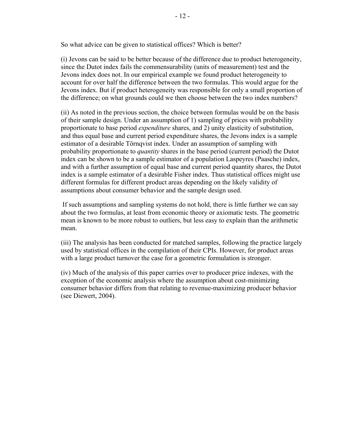So what advice can be given to statistical offices? Which is better?

(i) Jevons can be said to be better because of the difference due to product heterogeneity, since the Dutot index fails the commensurability (units of measurement) test and the Jevons index does not. In our empirical example we found product heterogeneity to account for over half the difference between the two formulas. This would argue for the Jevons index. But if product heterogeneity was responsible for only a small proportion of the difference; on what grounds could we then choose between the two index numbers?

(ii) As noted in the previous section, the choice between formulas would be on the basis of their sample design. Under an assumption of 1) sampling of prices with probability proportionate to base period *expenditure* shares, and 2) unity elasticity of substitution, and thus equal base and current period expenditure shares, the Jevons index is a sample estimator of a desirable Törnqvist index. Under an assumption of sampling with probability proportionate to *quantity* shares in the base period (current period) the Dutot index can be shown to be a sample estimator of a population Laspeyres (Paasche) index, and with a further assumption of equal base and current period quantity shares, the Dutot index is a sample estimator of a desirable Fisher index. Thus statistical offices might use different formulas for different product areas depending on the likely validity of assumptions about consumer behavior and the sample design used.

 If such assumptions and sampling systems do not hold, there is little further we can say about the two formulas, at least from economic theory or axiomatic tests. The geometric mean is known to be more robust to outliers, but less easy to explain than the arithmetic mean.

(iii) The analysis has been conducted for matched samples, following the practice largely used by statistical offices in the compilation of their CPIs. However, for product areas with a large product turnover the case for a geometric formulation is stronger.

(iv) Much of the analysis of this paper carries over to producer price indexes, with the exception of the economic analysis where the assumption about cost-minimizing consumer behavior differs from that relating to revenue-maximizing producer behavior (see Diewert, 2004).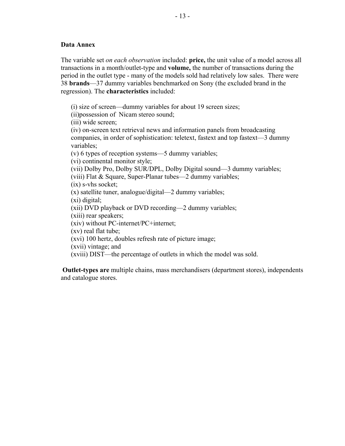# **Data Annex**

The variable set *on each observation* included: **price,** the unit value of a model across all transactions in a month/outlet-type and **volume,** the number of transactions during the period in the outlet type - many of the models sold had relatively low sales. There were 38 **brands**—37 dummy variables benchmarked on Sony (the excluded brand in the regression). The **characteristics** included:

(i) size of screen—dummy variables for about 19 screen sizes;

(ii)possession of Nicam stereo sound;

(iii) wide screen;

(iv) on-screen text retrieval news and information panels from broadcasting companies, in order of sophistication: teletext, fastext and top fastext—3 dummy variables;

(v) 6 types of reception systems—5 dummy variables;

(vi) continental monitor style;

(vii) Dolby Pro, Dolby SUR/DPL, Dolby Digital sound—3 dummy variables;

(viii) Flat & Square, Super-Planar tubes—2 dummy variables;

(ix) s-vhs socket;

(x) satellite tuner, analogue/digital—2 dummy variables;

(xi) digital;

(xii) DVD playback or DVD recording—2 dummy variables;

(xiii) rear speakers;

(xiv) without PC-internet/PC+internet;

(xv) real flat tube;

(xvi) 100 hertz, doubles refresh rate of picture image;

(xvii) vintage; and

(xviii) DIST—the percentage of outlets in which the model was sold.

**Outlet-types are** multiple chains, mass merchandisers (department stores), independents and catalogue stores.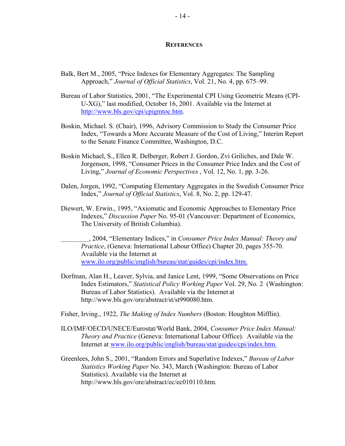#### **REFERENCES**

- Balk, Bert M., 2005, "Price Indexes for Elementary Aggregates: The Sampling Approach," *Journal of Official Statistics*, Vol. 21, No. 4, pp. 675–99.
- Bureau of Labor Statistics, 2001, "The Experimental CPI Using Geometric Means (CPI-U-XG)," last modified, October 16, 2001. Available via the Internet at [http://www.bls.gov/cpi/cpigmtoc.htm.](http://www.bls.gov/cpi/cpigmtoc.htm)
- Boskin, Michael. S. (Chair), 1996, Advisory Commission to Study the Consumer Price Index, "Towards a More Accurate Measure of the Cost of Living," Interim Report to the Senate Finance Committee, Washington, D.C.
- Boskin Michael, S., Ellen R. Delberger, Robert J. Gordon, Zvi Griliches, and Dale W. Jorgenson, 1998, "Consumer Prices in the Consumer Price Index and the Cost of Living," *Journal of Economic Perspectives* , Vol. 12, No. 1, pp. 3-26.
- Dalen, Jorgen, 1992, "Computing Elementary Aggregates in the Swedish Consumer Price Index," *Journal of Official Statistics*, Vol. 8, No. 2, pp. 129-47.
- Diewert, W. Erwin., 1995, "Axiomatic and Economic Approaches to Elementary Price Indexes," *Discussion Paper* No. 95-01 (Vancouver: Department of Economics, The University of British Columbia).

\_\_\_\_\_\_\_\_\_\_, 2004, "Elementary Indices," in *Consumer Price Index Manual: Theory and Practice*, (Geneva: International Labour Office) Chapter 20, pages 355-70. Available via the Internet at www.ilo.org/public/english/bureau/stat/guides/cpi/index.htm.

- Dorfman, Alan H., Leaver, Sylvia, and Janice Lent, 1999, "Some Observations on Price Index Estimators," *Statistical Policy Working Paper* Vol. 29, No. 2 (Washington: Bureau of Labor Statistics). Available via the Internet at [http://www.bls.gov/ore/abstract/st/st990080.htm.](http://www.bls.gov/ore/abstract/st/st990080.htm)
- Fisher, Irving., 1922, *The Making of Index Numbers* (Boston: Houghton Mifflin).
- ILO/IMF/OECD/UNECE/Eurostat/World Bank, 2004, *Consumer Price Index Manual: Theory and Practice* (Geneva: International Labour Office). Available via the Internet at www.ilo.org/public/english/bureau/stat/guides/cpi/index.htm.
- Greenlees, John S., 2001, "Random Errors and Superlative Indexes," *Bureau of Labor Statistics Working Paper* No. 343, March (Washington: Bureau of Labor Statistics). Available via the Internet at [http://www.bls.gov/ore/abstract/ec/ec010110.htm.](http://www.bls.gov/ore/abstract/ec/ec010110.htm)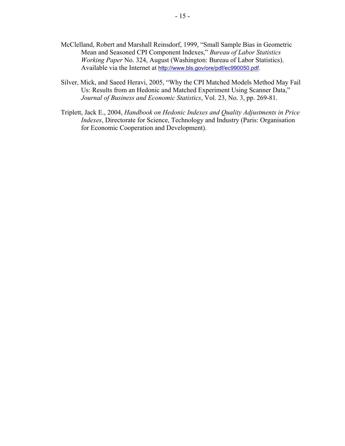- McClelland, Robert and Marshall Reinsdorf, 1999, "Small Sample Bias in Geometric Mean and Seasoned CPI Component Indexes," *Bureau of Labor Statistics Working Paper* No. 324, August (Washington: Bureau of Labor Statistics). Available via the Internet at [http://www.bls.gov/ore/pdf/ec990050.pdf.](http://www.bls.gov/ore/pdf/ec990050.pdf)
- Silver, Mick, and Saeed Heravi, 2005, "Why the CPI Matched Models Method May Fail Us: Results from an Hedonic and Matched Experiment Using Scanner Data," *Journal of Business and Economic Statistics*, Vol. 23, No. 3, pp. 269-81.
- Triplett, Jack E., 2004, *Handbook on Hedonic Indexes and Quality Adjustments in Price Indexes*, Directorate for Science, Technology and Industry (Paris: Organisation for Economic Cooperation and Development).